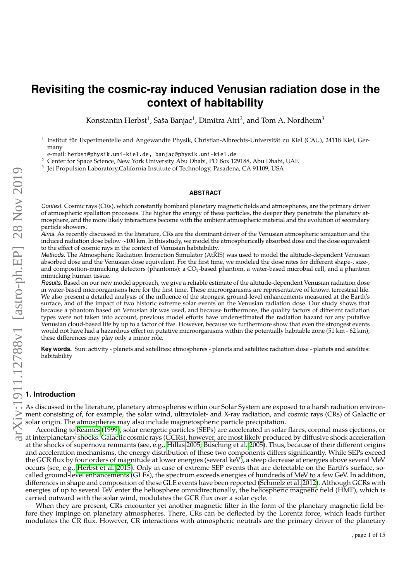# **Revisiting the cosmic-ray induced Venusian radiation dose in the context of habitability**

Konstantin Herbst<sup>1</sup>, Saša Banjac<sup>1</sup>, Dimitra Atri<sup>2</sup>, and Tom A. Nordheim<sup>3</sup>

1 Institut für Experimentelle and Angewandte Physik, Christian-Albrechts-Universität zu Kiel (CAU), 24118 Kiel, Germany

e-mail: herbst@physik.uni-kiel.de, banjac@physik.uni-kiel.de

<sup>2</sup> Center for Space Science, New York University Abu Dhabi, PO Box 129188, Abu Dhabi, UAE

3 Jet Propulsion Laboratory,California Institute of Technology, Pasadena, CA 91109, USA

#### **ABSTRACT**

Context. Cosmic rays (CRs), which constantly bombard planetary magnetic fields and atmospheres, are the primary driver of atmospheric spallation processes. The higher the energy of these particles, the deeper they penetrate the planetary atmosphere, and the more likely interactions become with the ambient atmospheric material and the evolution of secondary particle showers.

Aims. As recently discussed in the literature, CRs are the dominant driver of the Venusian atmospheric ionization and the induced radiation dose below ∼100 km. In this study, we model the atmospherically absorbed dose and the dose equivalent to the effect of cosmic rays in the context of Venusian habitability.

Methods. The Atmospheric Radiation Interaction Simulator (AtRIS) was used to model the altitude-dependent Venusian absorbed dose and the Venusian dose equivalent. For the first time, we modeled the dose rates for different shape-, size-, and composition-mimicking detectors (phantoms): a  $CO<sub>2</sub>$ -based phantom, a water-based microbial cell, and a phantom mimicking human tissue.

Results. Based on our new model approach, we give a reliable estimate of the altitude-dependent Venusian radiation dose in water-based microorganisms here for the first time. These microorganisms are representative of known terrestrial life. We also present a detailed analysis of the influence of the strongest ground-level enhancements measured at the Earth's surface, and of the impact of two historic extreme solar events on the Venusian radiation dose. Our study shows that because a phantom based on Venusian air was used, and because furthermore, the quality factors of different radiation types were not taken into account, previous model efforts have underestimated the radiation hazard for any putative Venusian cloud-based life by up to a factor of five. However, because we furthermore show that even the strongest events would not have had a hazardous effect on putative microorganisms within the potentially habitable zone (51 km - 62 km), these differences may play only a minor role.

**Key words.** Sun: activity - planets and satellites: atmospheres - planets and satelites: radiation dose - planets and satelites: habitability

## **1. Introduction**

As discussed in the literature, planetary atmospheres within our Solar System are exposed to a harsh radiation environment consisting of, for example, the solar wind, ultraviolet- and X-ray radiation, and cosmic rays (CRs) of Galactic or solar origin. The atmospheres may also include magnetospheric particle precipitation.

According to [Reames](#page-14-0) [\(1999\)](#page-14-0), solar energetic particles (SEPs) are accelerated in solar flares, coronal mass ejections, or at interplanetary shocks. Galactic cosmic rays (GCRs), however, are most likely produced by diffusive shock acceleration at the shocks of supernova remnants (see, e.g., [Hillas 2005;](#page-14-1) [Büsching et al. 2005\)](#page-14-2). Thus, because of their different origins and acceleration mechanisms, the energy distribution of these two components differs significantly. While SEPs exceed the GCR flux by four orders of magnitude at lower energies (several keV), a steep decrease at energies above several MeV occurs (see, e.g., [Herbst et al. 2015\)](#page-14-3). Only in case of extreme SEP events that are detectable on the Earth's surface, socalled ground-level enhancements (GLEs), the spectrum exceeds energies of hundreds of MeV to a few GeV. In addition, differences in shape and composition of these GLE events have been reported [\(Schmelz et al. 2012\)](#page-14-4). Although GCRs with energies of up to several TeV enter the heliosphere omnidirectionally, the heliospheric magnetic field (HMF), which is carried outward with the solar wind, modulates the GCR flux over a solar cycle.

When they are present, CRs encounter yet another magnetic filter in the form of the planetary magnetic field before they impinge on planetary atmospheres. There, CRs can be deflected by the Lorentz force, which leads further modulates the CR flux. However, CR interactions with atmospheric neutrals are the primary driver of the planetary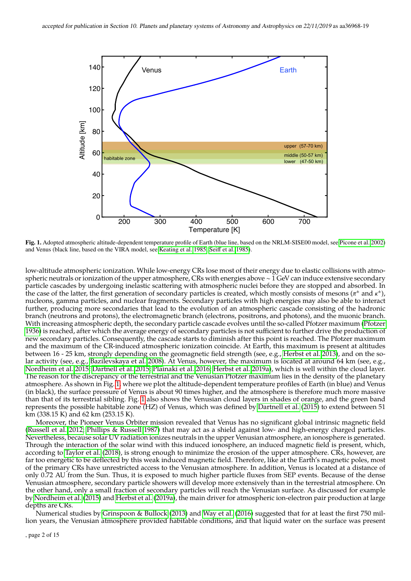

<span id="page-1-0"></span>Fig. 1. Adopted atmospheric altitude-dependent temperature profile of Earth (blue line, based on the NRLM-SISE00 model, see [Picone et al. 2002\)](#page-14-5) and Venus (black line, based on the VIRA model, see [Keating et al. 1985;](#page-14-6) Seiff [et al. 1985\)](#page-14-7).

low-altitude atmospheric ionization. While low-energy CRs lose most of their energy due to elastic collisions with atmospheric neutrals or ionization of the upper atmosphere, CRs with energies above ∼ 1 GeV can induce extensive secondary particle cascades by undergoing inelastic scattering with atmospheric nuclei before they are stopped and absorbed. In the case of the latter, the first generation of secondary particles is created, which mostly consists of mesons  $(\pi^{\pm}$  and  $\kappa^{\pm})$ , nucleons gamma particles and nuclear fragments. Secondary particles with high energie nucleons, gamma particles, and nuclear fragments. Secondary particles with high energies may also be able to interact further, producing more secondaries that lead to the evolution of an atmospheric cascade consisting of the hadronic branch (neutrons and protons), the electromagnetic branch (electrons, positrons, and photons), and the muonic branch. With increasing atmospheric depth, the secondary particle cascade evolves until the so-called Pfotzer maximum [\(Pfotzer](#page-14-8) [1936\)](#page-14-8) is reached, after which the average energy of secondary particles is not sufficient to further drive the production of new secondary particles. Consequently, the cascade starts to diminish after this point is reached. The Pfotzer maximum and the maximum of the CR-induced atmospheric ionization coincide. At Earth, this maximum is present at altitudes between 16 - 25 km, strongly depending on the geomagnetic field strength (see, e.g., [Herbst et al. 2013\)](#page-14-9), and on the solar activity (see, e.g., [Bazilevskaya et al. 2008\)](#page-14-10). At Venus, however, the maximum is located at around 64 km (see, e.g., [Nordheim et al. 2015;](#page-14-11) [Dartnell et al. 2015;](#page-14-12) [Plainaki et al. 2016;](#page-14-13) [Herbst et al. 2019a\)](#page-14-14), which is well within the cloud layer. The reason for the discrepancy of the terrestrial and the Venusian Pfotzer maximum lies in the density of the planetary atmosphere. As shown in Fig. [1,](#page-1-0) where we plot the altitude-dependent temperature profiles of Earth (in blue) and Venus (in black), the surface pressure of Venus is about 90 times higher, and the atmosphere is therefore much more massive than that of its terrestrial sibling. Fig. [1](#page-1-0) also shows the Venusian cloud layers in shades of orange, and the green band represents the possible habitable zone (HZ) of Venus, which was defined by [Dartnell et al.](#page-14-12) [\(2015\)](#page-14-12) to extend between 51 km (338.15 K) and 62 km (253.15 K).

Moreover, the Pioneer Venus Orbiter mission revealed that Venus has no significant global intrinsic magnetic field [\(Russell et al. 2012;](#page-14-15) [Phillips & Russell 1987\)](#page-14-16) that may act as a shield against low- and high-energy charged particles. Nevertheless, because solar UV radiation ionizes neutrals in the upper Venusian atmosphere, an ionosphere is generated. Through the interaction of the solar wind with this induced ionosphere, an induced magnetic field is present, which, according to [Taylor et al.](#page-14-17) [\(2018\)](#page-14-17), is strong enough to minimize the erosion of the upper atmosphere. CRs, however, are far too energetic to be deflected by this weak induced magnetic field. Therefore, like at the Earth's magnetic poles, most of the primary CRs have unrestricted access to the Venusian atmosphere. In addition, Venus is located at a distance of only 0.72 AU from the Sun. Thus, it is exposed to much higher particle fluxes from SEP events. Because of the dense Venusian atmosphere, secondary particle showers will develop more extensively than in the terrestrial atmosphere. On the other hand, only a small fraction of secondary particles will reach the Venusian surface. As discussed for example by [Nordheim et al.](#page-14-11) [\(2015\)](#page-14-11) and [Herbst et al.](#page-14-14) [\(2019a\)](#page-14-14), the main driver for atmospheric ion-electron pair production at large depths are CRs.

Numerical studies by [Grinspoon & Bullock](#page-14-18) [\(2013\)](#page-14-18) and [Way et al.](#page-14-19) [\(2016\)](#page-14-19) suggested that for at least the first 750 million years, the Venusian atmosphere provided habitable conditions, and that liquid water on the surface was present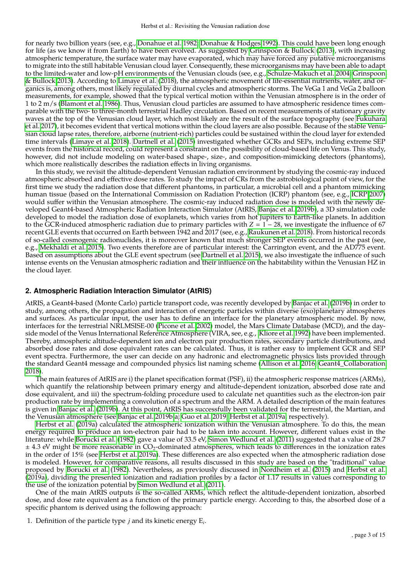for nearly two billion years (see, e.g., [Donahue et al. 1982;](#page-14-20) [Donahue & Hodges 1992\)](#page-14-21). This could have been long enough for life (as we know it from Earth) to have been evolved. As suggested by [Grinspoon & Bullock](#page-14-18) [\(2013\)](#page-14-18), with increasing atmospheric temperature, the surface water may have evaporated, which may have forced any putative microorganisms to migrate into the still habitable Venusian cloud layer. Consequently, these microorganisms may have been able to adapt to the limited-water and low-pH environments of the Venusian clouds (see, e.g., [Schulze-Makuch et al. 2004;](#page-14-22) [Grinspoon](#page-14-18) [& Bullock 2013\)](#page-14-18). According to [Limaye et al.](#page-14-23) [\(2018\)](#page-14-23), the atmospheric movement of life-essential nutrients, water, and organics is, among others, most likely regulated by diurnal cycles and atmospheric storms. The VeGa 1 and VeGa 2 balloon measurements, for example, showed that the typical vertical motion within the Venusian atmosphere is in the order of 1 to 2 m/s [\(Blamont et al. 1986\)](#page-14-24). Thus, Venusian cloud particles are assumed to have atmospheric residence times comparable with the two- to three-month terrestrial Hadley circulation. Based on recent measurements of stationary gravity waves at the top of the Venusian cloud layer, which most likely are the result of the surface topography (see [Fukuhara](#page-14-25) [et al. 2017\)](#page-14-25), it becomes evident that vertical motions within the cloud layers are also possible. Because of the stable Venusian cloud lapse rates, therefore, airborne (nutrient-rich) particles could be sustained within the cloud layer for extended time intervals [\(Limaye et al. 2018\)](#page-14-23). [Dartnell et al.](#page-14-12) [\(2015\)](#page-14-12) investigated whether GCRs and SEPs, including extreme SEP events from the historical record, could represent a constraint on the possibility of cloud-based life on Venus. This study, however, did not include modeling on water-based shape-, size-, and composition-mimicking detectors (phantoms), which more realistically describes the radiation effects in living organisms.

In this study, we revisit the altitude-dependent Venusian radiation environment by studying the cosmic-ray induced atmospheric absorbed and effective dose rates. To study the impact of CRs from the astrobiological point of view, for the first time we study the radiation dose that different phantoms, in particular, a microbial cell and a phantom mimicking human tissue (based on the International Commission on Radiation Protection (ICRP) phantom (see, e.g., [ICRP 2007\)](#page-14-26) would suffer within the Venusian atmosphere. The cosmic-ray induced radiation dose is modeled with the newly developed Geant4-based Atmospheric Radiation Interaction Simulator (AtRIS, [Banjac et al. 2019b\)](#page-14-27), a 3D simulation code developed to model the radiation dose of exoplanets, which varies from hot Jupiters to Earth-like planets. In addition to the GCR-induced atmospheric radiation due to primary particles with *Z* = 1 − 28, we investigate the influence of 67 recent GLE events that occurred on Earth between 1942 and 2017 (see, e.g., [Raukunen et al. 2018\)](#page-14-28). From historical records of so-called cosmogenic radionuclides, it is moreover known that much stronger SEP events occurred in the past (see, e.g., [Mekhaldi et al. 2015\)](#page-14-29). Two events therefore are of particular interest: the Carrington event, and the AD775 event. Based on assumptions about the GLE event spectrum (see [Dartnell et al. 2015\)](#page-14-12), we also investigate the influence of such intense events on the Venusian atmospheric radiation and their influence on the habitability within the Venusian HZ in the cloud layer.

## <span id="page-2-0"></span>**2. Atmospheric Radiation Interaction Simulator (AtRIS)**

AtRIS, a Geant4-based (Monte Carlo) particle transport code, was recently developed by [Banjac et al.](#page-14-27) [\(2019b\)](#page-14-27) in order to study, among others, the propagation and interaction of energetic particles within diverse (exo)planetary atmospheres and surfaces. As particular input, the user has to define an interface for the planetary atmospheric model. By now, interfaces for the terrestrial NRLMSISE-00 [\(Picone et al. 2002\)](#page-14-5) model, the Mars Climate Database (MCD), and the dayside model of the Venus International Reference Atmosphere (VIRA, see, e.g., [Kliore et al. 1992\)](#page-14-30) have been implemented. Thereby, atmospheric altitude-dependent ion and electron pair production rates, secondary particle distributions, and absorbed dose rates and dose equivalent rates can be calculated. Thus, it is rather easy to implement GCR and SEP event spectra. Furthermore, the user can decide on any hadronic and electromagnetic physics lists provided through the standard Geant4 message and compounded physics list naming scheme [\(Allison et al. 2016;](#page-14-31) [Geant4\\_Collaboration](#page-14-32) [2018\)](#page-14-32).

The main features of AtRIS are i) the planet specification format (PSF), ii) the atmospheric response matrices (ARMs), which quantify the relationship between primary energy and altitude-dependent ionization, absorbed dose rate and dose equivalent, and iii) the spectrum-folding procedure used to calculate net quantities such as the electron-ion pair production rate by implementing a convolution of a spectrum and the ARM. A detailed description of the main features is given in [Banjac et al.](#page-14-27) [\(2019b\)](#page-14-27). At this point, AtRIS has successfully been validated for the terrestrial, the Martian, and the Venusian atmosphere (see [Banjac et al. 2019b](#page-14-27)[,a;](#page-14-33) [Guo et al. 2019;](#page-14-34) [Herbst et al. 2019a,](#page-14-14) respectively).

[Herbst et al.](#page-14-14) [\(2019a\)](#page-14-14) calculated the atmospheric ionization within the Venusian atmosphere. To do this, the mean energy required to produce an ion-electron pair had to be taken into account. However, different values exist in the literature: while [Borucki et al.](#page-14-35) [\(1982\)](#page-14-35) gave a value of 33.5 eV, [Simon Wedlund et al.](#page-14-36) [\(2011\)](#page-14-36) suggested that a value of 28.7  $\pm$  4.3 eV might be more reasonable in CO<sub>2</sub>-dominated atmospheres, which leads to differences in the ionization rates in the order of 15% (see [Herbst et al. 2019a\)](#page-14-14). These differences are also expected when the atmospheric radiation dose is modeled. However, for comparative reasons, all results discussed in this study are based on the "traditional" value proposed by [Borucki et al.](#page-14-35) [\(1982\)](#page-14-35). Nevertheless, as previously discussed in [Nordheim et al.](#page-14-11) [\(2015\)](#page-14-11) and [Herbst et al.](#page-14-14) [\(2019a\)](#page-14-14), dividing the presented ionization and radiation profiles by a factor of 1.17 results in values corresponding to the use of the ionization potential by [Simon Wedlund et al.](#page-14-36) [\(2011\)](#page-14-36).

One of the main AtRIS outputs is the so-called ARMs, which reflect the altitude-dependent ionization, absorbed dose, and dose rate equivalent as a function of the primary particle energy. According to this, the absorbed dose of a specific phantom is derived using the following approach:

1. Definition of the particle type *j* and its kinetic energy E*<sup>i</sup>* .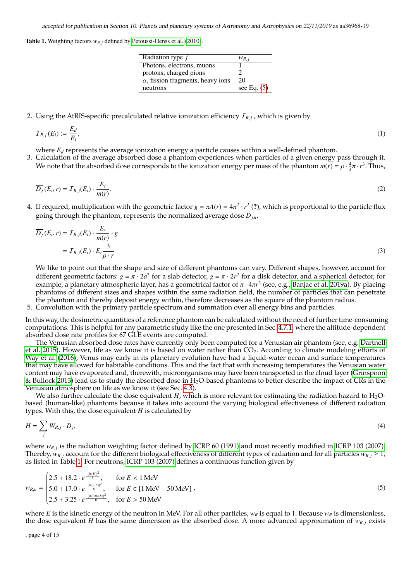<span id="page-3-1"></span>**Table 1.** Weighting factors  $w_{R,j}$  defined by [Petoussi-Henss et al.](#page-14-37) [\(2010\)](#page-14-37).

| Radiation type $j$                       | $W_{R,i}$     |
|------------------------------------------|---------------|
| Photons, electrons, muons                |               |
| protons, charged pions                   |               |
| $\alpha$ , fission fragments, heavy ions | 20            |
| neutrons                                 | see Eq. $(5)$ |

2. Using the AtRIS-specific precalculated relative ionization efficiency  $I_{R,j}$  , which is given by

$$
\mathcal{I}_{R,j}(E_i) := \frac{E_d}{E_i},\tag{1}
$$

where  $E_d$  represents the average ionization energy a particle causes within a well-defined phantom.

3. Calculation of the average absorbed dose a phantom experiences when particles of a given energy pass through it. We note that the absorbed dose corresponds to the ionization energy per mass of the phantom  $m(r) = \rho \cdot \frac{4}{3}\pi \cdot r^3$ . Thus,

$$
\overline{D_j}(E_i, r) = I_{R,j}(E_i) \cdot \frac{E_i}{m(r)}.\tag{2}
$$

4. If required, multiplication with the geometric factor  $g = \pi A(r) = 4\pi^2 \cdot r^2$  (?), which is proportional to the particle flux going through the phantom, represents the normalized average dose  $\overline{D_{in}}$ ,

$$
\overline{D_j}(E_i, r) = I_{R,j}(E_i) \cdot \frac{E_i}{m(r)} \cdot g
$$
  
=  $I_{R,j}(E_i) \cdot E_i \frac{3}{\rho \cdot r}$  (3)

We like to point out that the shape and size of different phantoms can vary. Different shapes, however, account for different geometric factors:  $g = \pi \cdot 2a^2$  for a slab detector,  $g = \pi \cdot 2r^2$  for a disk detector, and a spherical detector, for example, a planetary atmospheric layer has a geometrical factor of  $\pi \cdot 4\pi r^2$  (see e.g., example, a planetary atmospheric layer, has a geometrical factor of π · 4πr<sup>2</sup> (see, e.g., [Banjac et al. 2019a\)](#page-14-33). By placing<br>phantoms of different sizes and shapes within the same radiation field, the number of particles t phantoms of different sizes and shapes within the same radiation field, the number of particles that can penetrate the phantom and thereby deposit energy within, therefore decreases as the square of the phantom radius.

5. Convolution with the primary particle spectrum and summation over all energy bins and particles.

In this way, the dosimetric quantities of a reference phantom can be calculated without the need of further time-consuming computations. This is helpful for any parametric study like the one presented in Sec. [4.7.1,](#page-10-0) where the altitude-dependent absorbed dose rate profiles for 67 GLE events are computed.

The Venusian absorbed dose rates have currently only been computed for a Venusian air phantom (see, e.g. [Dartnell](#page-14-12) [et al. 2015\)](#page-14-12). However, life as we know it is based on water rather than  $CO<sub>2</sub>$ . According to climate modeling efforts of [Way et al.](#page-14-19) [\(2016\)](#page-14-19), Venus may early in its planetary evolution have had a liquid-water ocean and surface temperatures that may have allowed for habitable conditions. This and the fact that with increasing temperatures the Venusian water content may have evaporated and, therewith, microorganisms may have been transported in the cloud layer [\(Grinspoon](#page-14-18) [& Bullock 2013\)](#page-14-18) lead us to study the absorbed dose in  $H_2O$ -based phantoms to better describe the impact of CRs in the Venusian atmosphere on life as we know it (see Sec. [4.3\)](#page-6-0).

We also further calculate the dose equivalent  $H$ , which is more relevant for estimating the radiation hazard to  $H_2O$ based (human-like) phantoms because it takes into account the varying biological effectiveness of different radiation types. With this, the dose equivalent *H* is calculated by

$$
H = \sum_{j} W_{R,j} \cdot D_j,\tag{4}
$$

<span id="page-3-0"></span>where  $w_{R,j}$  is the radiation weighting factor defined by [ICRP 60 \(1991\)](#page-14-38) and most recently modified in [ICRP 103 \(2007\).](#page-14-39)<br>Thereby was account for the different biological effectiveness of different types of radiation and fo Thereby,  $w_{R,i}$  account for the different biological effectiveness of different types of radiation and for all particles  $w_{R,i} \geq 1$ , as listed in Table [1.](#page-3-1) For neutrons, [ICRP 103 \(2007\)](#page-14-39) defines a continuous function given by

$$
w_{R,n} = \begin{cases} 2.5 + 18.2 \cdot e^{\frac{-[\ln(E)]^2}{6}}, & \text{for } E < 1 \text{ MeV} \\ 5.0 + 17.0 \cdot e^{\frac{-[\ln(2 \cdot E)]^2}{6}}, & \text{for } E \in [1 \text{ MeV} - 50 \text{ MeV}] \\ 2.5 + 3.25 \cdot e^{\frac{-[\ln(0.04 \cdot E)]^2}{6}}, & \text{for } E > 50 \text{ MeV} \end{cases}
$$
(5)

where *E* is the kinetic energy of the neutron in MeV. For all other particles, *w<sup>R</sup>* is equal to 1. Because *w<sup>R</sup>* is dimensionless, the dose equivalent *H* has the same dimension as the absorbed dose. A more advanced approximation of  $w_{R,i}$  exists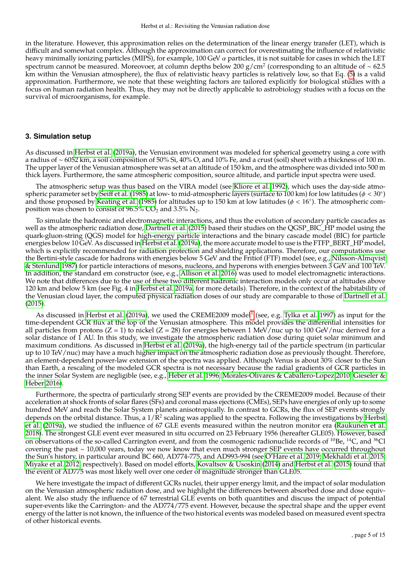in the literature. However, this approximation relies on the determination of the linear energy transfer (LET), which is difficult and somewhat complex. Although the approximation can correct for overestimating the influence of relativistic heavy minimally ionizing particles (MIPS), for example, 100 GeV  $\alpha$  particles, it is not suitable for cases in which the LET spectrum cannot be measured. Moreovoer, at column depths below 200 g/cm<sup>2</sup> (corresponding to an altitude of ~ 62.5 km within the Venusian atmosphere), the flux of relativistic heavy particles is relatively low, so that Eq. [\(5\)](#page-3-0) is a valid approximation. Furthermore, we note that these weighting factors are tailored explicitly for biological studies with a focus on human radiation health. Thus, they may not be directly applicable to astrobiology studies with a focus on the survival of microorganisms, for example.

## **3. Simulation setup**

As discussed in [Herbst et al.](#page-14-14) [\(2019a\)](#page-14-14), the Venusian environment was modeled for spherical geometry using a core with a radius of ∼ 6052 km, a soil composition of 50% Si, 40% O, and 10% Fe, and a crust (soil) sheet with a thickness of 100 m. The upper layer of the Venusian atmosphere was set at an altitude of 150 km, and the atmosphere was divided into 500 m thick layers. Furthermore, the same atmospheric composition, source altitude, and particle input spectra were used.

The atmospheric setup was thus based on the VIRA model (see [Kliore et al. 1992\)](#page-14-30), which uses the day-side atmo-spheric parameter set by Ŝeiff et al. [\(1985\)](#page-14-7) at low- to mid-atmospheric layers (surface to 100 km) for low latitudes (φ < 30°)<br>and those proposed by Keating et al. (1985) for altitudes up to 150 km at low latitudes (φ < 1 and those proposed by [Keating et al.](#page-14-6) [\(1985\)](#page-14-6) for altitudes up to 150 km at low latitudes ( $\phi < 16^{\circ}$ ). The atmospheric com-<br>position was chosen to consist of 96.5% CO<sub>2</sub> and 3.5% N<sub>2</sub> position was chosen to consist of  $96.5\%$  CO<sub>2</sub> and  $3.5\%$  N<sub>2</sub>.

To simulate the hadronic and electromagnetic interactions, and thus the evolution of secondary particle cascades as well as the atmospheric radiation dose, [Dartnell et al.](#page-14-12) [\(2015\)](#page-14-12) based their studies on the QGSP\_BIC\_HP model using the quark-gluon-string (QGS) model for high-energy particle interactions and the binary cascade model (BIC) for particle energies below 10 GeV. As discussed in [Herbst et al.](#page-14-14) [\(2019a\)](#page-14-14), the more accurate model to use is the FTFP\_BERT\_HP model, which is explicitly recommended for radiation protection and shielding applications. Therefore, our computations use the Bertini-style cascade for hadrons with energies below 5 GeV and the Fritiof (FTF) model (see, e.g., [Nilsson-Almqvist](#page-14-40) [& Stenlund 1987\)](#page-14-40) for particle interactions of mesons, nucleons, and hyperons with energies between 3 GeV and 100 TeV. In addition, the standard em constructor (see, e.g., [Allison et al. 2016\)](#page-14-31) was used to model electromagnetic interactions. We note that differences due to the use of these two different hadronic interaction models only occur at altitudes above 120 km and below 5 km (see Fig. 4 in [Herbst et al. 2019a,](#page-14-14) for more details). Therefore, in the context of the habitability of the Venusian cloud layer, the computed physical radiation doses of our study are comparable to those of [Dartnell et al.](#page-14-12) [\(2015\)](#page-14-12).

As discussed in [Herbst et al.](#page-14-14) [\(2019a\)](#page-14-14), we used the CREME2009 model<sup>[1](#page-5-0)</sup> (see, e.g. [Tylka et al. 1997\)](#page-14-41) as input for the time-dependent GCR flux at the top of the Venusian atmosphere. This model provides the differential intensities for all particles from protons (Z = 1) to nickel (Z = 28) for energies between 1 MeV/nuc up to 100 GeV/nuc derived for a solar distance of 1 AU. In this study, we investigate the atmospheric radiation dose during quiet solar minimum and maximum conditions. As discussed in [Herbst et al.](#page-14-14) [\(2019a\)](#page-14-14), the high-energy tail of the particle spectrum (in particular up to 10 TeV/nuc) may have a much higher impact on the atmospheric radiation dose as previously thought. Therefore, an element-dependent power-law extension of the spectra was applied. Although Venus is about 30% closer to the Sun than Earth, a rescaling of the modeled GCR spectra is not necessary because the radial gradients of GCR particles in the inner Solar System are negligible (see, e.g., [Heber et al. 1996;](#page-14-42) [Morales-Olivares & Caballero-Lopez 2010;](#page-14-43) [Gieseler &](#page-14-44) [Heber 2016\)](#page-14-44).

Furthermore, the spectra of particularly strong SEP events are provided by the CREME2009 model. Because of their acceleration at shock fronts of solar flares (SFs) and coronal mass ejections (CMEs), SEPs have energies of only up to some hundred MeV and reach the Solar System planets anisotropically. In contrast to GCRs, the flux of SEP events strongly depends on the orbital distance. Thus, a  $1/R^2$  scaling was applied to the spectra. Following the investigations by [Herbst](#page-14-14) [et al.](#page-14-14) [\(2019a\)](#page-14-14), we studied the influence of 67 GLE events measured within the neutron monitor era [\(Raukunen et al.](#page-14-28) [2018\)](#page-14-28). The strongest GLE event ever measured in situ occurred on 23 February 1956 (hereafter GLE05). However, based on observations of the so-called Carrington event, and from the cosmogenic radionuclide records of  $^{10}$ Be,  $^{14}$ C, and  $^{36}$ Cl covering the past ∼ 10,000 years, today we now know that even much stronger SEP events have occurred throughout the Sun's history, in particular around BC 660, AD774-775, and AD993-994 (see [O'Hare et al. 2019;](#page-14-45) [Mekhaldi et al. 2015;](#page-14-29) [Miyake et al. 2012,](#page-14-46) respectively). Based on model efforts, [Kovaltsov & Usoskin](#page-14-47) [\(2014\)](#page-14-47) and [Herbst et al.](#page-14-3) [\(2015\)](#page-14-3) found that the event of AD775 was most likely well over one order of magnitude stronger than GLE05.

We here investigate the impact of different GCRs nuclei, their upper energy limit, and the impact of solar modulation on the Venusian atmospheric radiation dose, and we highlight the differences between absorbed dose and dose equivalent. We also study the influence of 67 terrestrial GLE events on both quantities and discuss the impact of potential super-events like the Carrington- and the AD774/775 event. However, because the spectral shape and the upper event energy of the latter is not known, the influence of the two historical events was modeled based on measured event spectra of other historical events.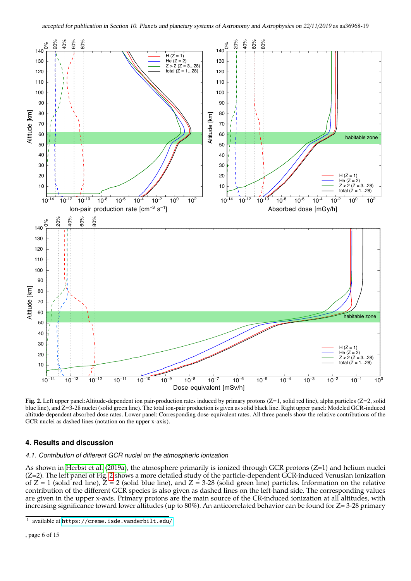

<span id="page-5-1"></span>Fig. 2. Left upper panel:Altitude-dependent ion pair-production rates induced by primary protons (Z=1, solid red line), alpha particles (Z=2, solid blue line), and Z=3-28 nuclei (solid green line). The total ion-pair production is given as solid black line. Right upper panel: Modeled GCR-induced altitude-dependent absorbed dose rates. Lower panel: Corresponding dose-equivalent rates. All three panels show the relative contributions of the GCR nuclei as dashed lines (notation on the upper x-axis).

## **4. Results and discussion**

## 4.1. Contribution of different GCR nuclei on the atmospheric ionization

As shown in [Herbst et al.](#page-14-14) [\(2019a\)](#page-14-14), the atmosphere primarily is ionized through GCR protons (Z=1) and helium nuclei (Z=2). The left panel of Fig. [2](#page-5-1) shows a more detailed study of the particle-dependent GCR-induced Venusian ionization of  $Z = 1$  (solid red line),  $Z = 2$  (solid blue line), and  $Z = 3-28$  (solid green line) particles. Information on the relative contribution of the different GCR species is also given as dashed lines on the left-hand side. The corresponding values are given in the upper x-axis. Primary protons are the main source of the CR-induced ionization at all altitudes, with increasing significance toward lower altitudes (up to 80%). An anticorrelated behavior can be found for Z= 3-28 primary

<span id="page-5-0"></span><sup>1</sup> available at <https://creme.isde.vanderbilt.edu/>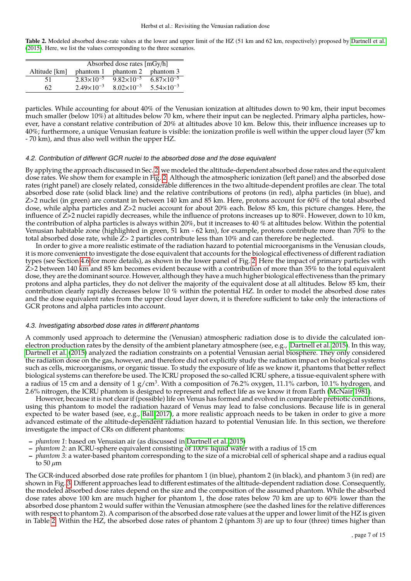<span id="page-6-1"></span>Table 2. Modeled absorbed dose-rate values at the lower and upper limit of the HZ (51 km and 62 km, respectively) proposed by [Dartnell et al.](#page-14-12) [\(2015\)](#page-14-12). Here, we list the values corresponding to the three scenarios.

|               | Absorbed dose rates [mGy/h] |                       |                       |  |
|---------------|-----------------------------|-----------------------|-----------------------|--|
| Altitude [km] | phantom 1                   | phantom 2             | phantom 3             |  |
| 51            | $2.83\times10^{-5}$         | $9.82 \times 10^{-5}$ | $6.87 \times 10^{-5}$ |  |
| 62            | $2.49\times10^{-3}$         | $8.02\times10^{-3}$   | $5.54 \times 10^{-3}$ |  |

particles. While accounting for about 40% of the Venusian ionization at altitudes down to 90 km, their input becomes much smaller (below 10%) at altitudes below 70 km, where their input can be neglected. Primary alpha particles, however, have a constant relative contribution of 20% at altitudes above 10 km. Below this, their influence increases up to 40%; furthermore, a unique Venusian feature is visible: the ionization profile is well within the upper cloud layer (57 km - 70 km), and thus also well within the upper HZ.

#### 4.2. Contribution of different GCR nuclei to the absorbed dose and the dose equivalent

By applying the approach discussed in Sec. [2,](#page-2-0) we modeled the altitude-dependent absorbed dose rates and the equivalent dose rates. We show them for example in Fig. [2.](#page-5-1) Although the atmospheric ionization (left panel) and the absorbed dose rates (right panel) are closely related, considerable differences in the two altitude-dependent profiles are clear. The total absorbed dose rate (solid black line) and the relative contributions of protons (in red), alpha particles (in blue), and Z>2 nuclei (in green) are constant in between 140 km and 85 km. Here, protons account for 60% of the total absorbed dose, while alpha particles and Z>2 nuclei account for about 20% each. Below 85 km, this picture changes. Here, the influence of Z>2 nuclei rapidly decreases, while the influence of protons increases up to 80%. However, down to 10 km, the contribution of alpha particles is always within 20%, but it increases to 40 % at altitudes below. Within the potential Venusian habitable zone (highlighted in green, 51 km - 62 km), for example, protons contribute more than 70% to the total absorbed dose rate, while  $\bar{Z}$  > 2 particles contribute less than 10% and can therefore be neglected.

In order to give a more realistic estimate of the radiation hazard to potential microorganisms in the Venusian clouds, it is more convenient to investigate the dose equivalent that accounts for the biological effectiveness of different radiation types (see Section [4.6](#page-8-0) for more details), as shown in the lower panel of Fig. [2.](#page-5-1) Here the impact of primary particles with  $Z$ >2 between 140 km and 85 km becomes evident because with a contribution of more than 35% to the total equivalent dose, they are the dominant source. However, although they have a much higher biological effectiveness than the primary protons and alpha particles, they do not deliver the majority of the equivalent dose at all altitudes. Below 85 km, their contribution clearly rapidly decreases below 10 % within the potential HZ. In order to model the absorbed dose rates and the dose equivalent rates from the upper cloud layer down, it is therefore sufficient to take only the interactions of GCR protons and alpha particles into account.

## <span id="page-6-0"></span>4.3. Investigating absorbed dose rates in different phantoms

A commonly used approach to determine the (Venusian) atmospheric radiation dose is to divide the calculated ionelectron production rates by the density of the ambient planetary atmosphere (see, e.g., [Dartnell et al. 2015\)](#page-14-12). In this way, [Dartnell et al.](#page-14-12) [\(2015\)](#page-14-12) analyzed the radiation constraints on a potential Venusian aerial biosphere. They only considered the radiation dose on the gas, however, and therefore did not explicitly study the radiation impact on biological systems such as cells, microorganisms, or organic tissue. To study the exposure of life as we know it, phantoms that better reflect biological systems can therefore be used. The ICRU proposed the so-called ICRU sphere, a tissue-equivalent sphere with a radius of 15 cm and a density of 1 g/cm<sup>3</sup>. With a composition of 76.2% oxygen, 11.1% carbon, 10.1% hydrogen, and 2.6% nitrogen, the ICRU phantom is designed to represent and reflect life as we know it from Earth [\(McNair 1981\)](#page-14-48).

However, because it is not clear if (possible) life on Venus has formed and evolved in comparable prebiotic conditions, using this phantom to model the radiation hazard of Venus may lead to false conclusions. Because life is in general expected to be water based (see, e.g., [Ball 2017\)](#page-14-49), a more realistic approach needs to be taken in order to give a more advanced estimate of the altitude-dependent radiation hazard to potential Venusian life. In this section, we therefore investigate the impact of CRs on different phantoms:

- *phantom 1*: based on Venusian air (as discussed in [Dartnell et al. 2015\)](#page-14-12)
- *phantom 2*: an ICRU-sphere equivalent consisting of 100% liquid water with a radius of 15 cm
- *phantom 3*: a water-based phantom corresponding to the size of a microbial cell of spherical shape and a radius equal to 50  $\mu$ m

The GCR-induced absorbed dose rate profiles for phantom 1 (in blue), phantom 2 (in black), and phantom 3 (in red) are shown in Fig. [3.](#page-7-0) Different approaches lead to different estimates of the altitude-dependent radiation dose. Consequently, the modeled absorbed dose rates depend on the size and the composition of the assumed phantom. While the absorbed dose rates above 100 km are much higher for phantom 1, the dose rates below 70 km are up to 60% lower than the absorbed dose phantom 2 would suffer within the Venusian atmosphere (see the dashed lines for the relative differences with respect to phantom 2). A comparison of the absorbed dose rate values at the upper and lower limit of the HZ is given in Table [2.](#page-6-1) Within the HZ, the absorbed dose rates of phantom 2 (phantom 3) are up to four (three) times higher than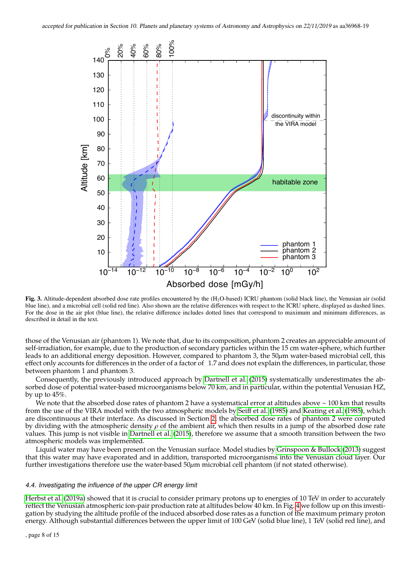

<span id="page-7-0"></span>Fig. 3. Altitude-dependent absorbed dose rate profiles encountered by the (H<sub>2</sub>O-based) ICRU phantom (solid black line), the Venusian air (solid blue line), and a microbial cell (solid red line). Also shown are the relative differences with respect to the ICRU sphere, displayed as dashed lines. For the dose in the air plot (blue line), the relative difference includes dotted lines that correspond to maximum and minimum differences, as described in detail in the text.

those of the Venusian air (phantom 1). We note that, due to its composition, phantom 2 creates an appreciable amount of self-irradiation, for example, due to the production of secondary particles within the 15 cm water-sphere, which further leads to an additional energy deposition. However, compared to phantom 3, the 50 $\mu$ m water-based microbial cell, this effect only accounts for differences in the order of a factor of 1.7 and does not explain the differences, in particular, those between phantom 1 and phantom 3.

Consequently, the previously introduced approach by [Dartnell et al.](#page-14-12) [\(2015\)](#page-14-12) systematically underestimates the absorbed dose of potential water-based microorganisms below 70 km, and in particular, within the potential Venusian HZ, by up to 45%.

We note that the absorbed dose rates of phantom 2 have a systematical error at altitudes above ∼ 100 km that results from the use of the VIRA model with the two atmospheric models by [Seiff et al.](#page-14-7) [\(1985\)](#page-14-7) and [Keating et al.](#page-14-6) [\(1985\)](#page-14-6), which are discontinuous at their interface. As discussed in Section [2,](#page-2-0) the absorbed dose rates of phantom 2 were computed by dividing with the atmospheric density  $\rho$  of the ambient air, which then results in a jump of the absorbed dose rate values. This jump is not visible in [Dartnell et al.](#page-14-12) [\(2015\)](#page-14-12), therefore we assume that a smooth transition between the two atmospheric models was implemented.

Liquid water may have been present on the Venusian surface. Model studies by [Grinspoon & Bullock](#page-14-18) [\(2013\)](#page-14-18) suggest that this water may have evaporated and in addition, transported microorganisms into the Venusian cloud layer. Our further investigations therefore use the water-based  $50 \mu m$  microbial cell phantom (if not stated otherwise).

#### 4.4. Investigating the influence of the upper CR energy limit

[Herbst et al.](#page-14-14) [\(2019a\)](#page-14-14) showed that it is crucial to consider primary protons up to energies of 10 TeV in order to accurately reflect the Venusian atmospheric ion-pair production rate at altitudes below 40 km. In Fig. [4](#page-8-1) we follow up on this investigation by studying the altitude profile of the induced absorbed dose rates as a function of the maximum primary proton energy. Although substantial differences between the upper limit of 100 GeV (solid blue line), 1 TeV (solid red line), and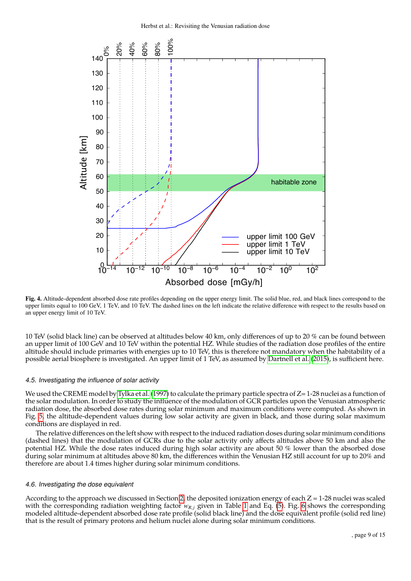

<span id="page-8-1"></span>Fig. 4. Altitude-dependent absorbed dose rate profiles depending on the upper energy limit. The solid blue, red, and black lines correspond to the upper limits equal to 100 GeV, 1 TeV, and 10 TeV. The dashed lines on the left indicate the relative difference with respect to the results based on an upper energy limit of 10 TeV.

10 TeV (solid black line) can be observed at altitudes below 40 km, only differences of up to 20 % can be found between an upper limit of 100 GeV and 10 TeV within the potential HZ. While studies of the radiation dose profiles of the entire altitude should include primaries with energies up to 10 TeV, this is therefore not mandatory when the habitability of a possible aerial biosphere is investigated. An upper limit of 1 TeV, as assumed by [Dartnell et al.](#page-14-12) [\(2015\)](#page-14-12), is sufficient here.

#### 4.5. Investigating the influence of solar activity

We used the CREME model by [Tylka et al.](#page-14-41) [\(1997\)](#page-14-41) to calculate the primary particle spectra of Z=1-28 nuclei as a function of the solar modulation. In order to study the influence of the modulation of GCR particles upon the Venusian atmospheric radiation dose, the absorbed dose rates during solar minimum and maximum conditions were computed. As shown in Fig. [5,](#page-9-0) the altitude-dependent values during low solar activity are given in black, and those during solar maximum conditions are displayed in red.

The relative differences on the left show with respect to the induced radiation doses during solar minimum conditions (dashed lines) that the modulation of GCRs due to the solar activity only affects altitudes above 50 km and also the potential HZ. While the dose rates induced during high solar activity are about 50 % lower than the absorbed dose during solar minimum at altitudes above 80 km, the differences within the Venusian HZ still account for up to 20% and therefore are about 1.4 times higher during solar minimum conditions.

## <span id="page-8-0"></span>4.6. Investigating the dose equivalent

According to the approach we discussed in Section [2,](#page-2-0) the deposited ionization energy of each  $Z = 1-28$  nuclei was scaled with the corresponding radiation weighting factor  $w_{R,i}$  given in Table [1](#page-3-1) and Eq. [\(5\)](#page-3-0). Fig. [6](#page-10-1) shows the corresponding modeled altitude-dependent absorbed dose rate profile (solid black line) and the dose equivalent profile (solid red line) that is the result of primary protons and helium nuclei alone during solar minimum conditions.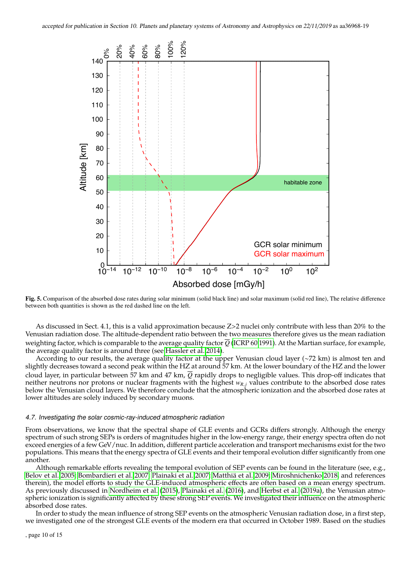

<span id="page-9-0"></span>Fig. 5. Comparison of the absorbed dose rates during solar minimum (solid black line) and solar maximum (solid red line), The relative difference between both quantities is shown as the red dashed line on the left.

As discussed in Sect. 4.1, this is a valid approximation because Z>2 nuclei only contribute with less than 20% to the Venusian radiation dose. The altitude-dependent ratio between the two measures therefore gives us the mean radiation weighting factor, which is comparable to the average quality factor  $\overline{Q}$  [\(ICRP 60 1991\)](#page-14-38). At the Martian surface, for example, the average quality factor is around three (see [Hassler et al. 2014\)](#page-14-50).

According to our results, the average quality factor at the upper Venusian cloud layer (∼72 km) is almost ten and slightly decreases toward a second peak within the HZ at around 57 km. At the lower boundary of the HZ and the lower cloud layer, in particular between 57 km and 47 km, *Q* rapidly drops to negligible values. This drop-off indicates that neither neutrons nor protons or nuclear fragments with the highest  $w_{R,i}$  values contribute to the absorbed dose rates below the Venusian cloud layers. We therefore conclude that the atmospheric ionization and the absorbed dose rates at lower altitudes are solely induced by secondary muons.

#### 4.7. Investigating the solar cosmic-ray-induced atmospheric radiation

From observations, we know that the spectral shape of GLE events and GCRs differs strongly. Although the energy spectrum of such strong SEPs is orders of magnitudes higher in the low-energy range, their energy spectra often do not exceed energies of a few GeV/nuc. In addition, different particle acceleration and transport mechanisms exist for the two populations. This means that the energy spectra of GLE events and their temporal evolution differ significantly from one another.

Although remarkable efforts revealing the temporal evolution of SEP events can be found in the literature (see, e.g., [Belov et al. 2005;](#page-14-51) [Bombardieri et al. 2007;](#page-14-52) [Plainaki et al. 2007;](#page-14-53) [Matthiä et al. 2009;](#page-14-54) [Miroshnichenko 2018,](#page-14-55) and references therein), the model efforts to study the GLE-induced atmospheric effects are often based on a mean energy spectrum. As previously discussed in [Nordheim et al.](#page-14-11) [\(2015\)](#page-14-11), [Plainaki et al.](#page-14-13) [\(2016\)](#page-14-13), and [Herbst et al.](#page-14-14) [\(2019a\)](#page-14-14), the Venusian atmospheric ionization is significantly affected by these strong SEP events. We investigated their influence on the atmospheric absorbed dose rates.

In order to study the mean influence of strong SEP events on the atmospheric Venusian radiation dose, in a first step, we investigated one of the strongest GLE events of the modern era that occurred in October 1989. Based on the studies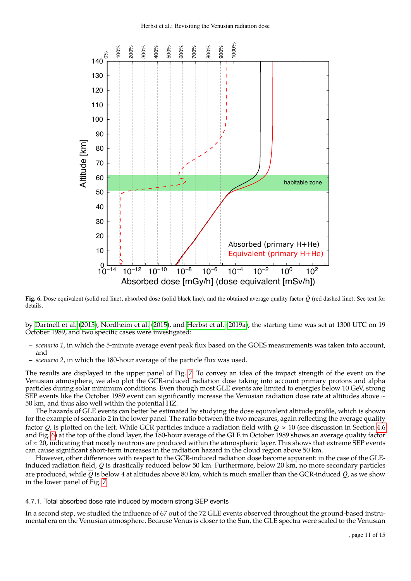

<span id="page-10-1"></span>Fig. 6. Dose equivalent (solid red line), absorbed dose (solid black line), and the obtained average quality factor  $\bar{Q}$  (red dashed line). See text for details.

by [Dartnell et al.](#page-14-12) [\(2015\)](#page-14-12), [Nordheim et al.](#page-14-11) [\(2015\)](#page-14-11), and [Herbst et al.](#page-14-14) [\(2019a\)](#page-14-14), the starting time was set at 1300 UTC on 19 October 1989, and two specific cases were investigated:

- *scenario 1*, in which the 5-minute average event peak flux based on the GOES measurements was taken into account, and
- *scenario 2*, in which the 180-hour average of the particle flux was used.

The results are displayed in the upper panel of Fig. [7.](#page-11-0) To convey an idea of the impact strength of the event on the Venusian atmosphere, we also plot the GCR-induced radiation dose taking into account primary protons and alpha particles during solar minimum conditions. Even though most GLE events are limited to energies below 10 GeV, strong SEP events like the October 1989 event can significantly increase the Venusian radiation dose rate at altitudes above ∼ 50 km, and thus also well within the potential HZ.

The hazards of GLE events can better be estimated by studying the dose equivalent altitude profile, which is shown for the example of scenario 2 in the lower panel. The ratio between the two measures, again reflecting the average quality factor  $\overline{O}$ , is plotted on the left. While GCR particles induce a radiation field with  $\overline{O} \approx 10$  (see discussion in Section [4.6](#page-8-0)) and Fig. [6\)](#page-10-1) at the top of the cloud layer, the 180-hour average of the GLE in October 1989 shows an average quality factor of  $\approx$  20, indicating that mostly neutrons are produced within the atmospheric layer. This shows that extreme SEP events can cause significant short-term increases in the radiation hazard in the cloud region above 50 km.

However, other differences with respect to the GCR-induced radiation dose become apparent: in the case of the GLEinduced radiation field,  $\bar{Q}$  is drastically reduced below 50 km. Furthermore, below 20 km, no more secondary particles are produced, while  $\overline{Q}$  is below 4 at altitudes above 80 km, which is much smaller than the GCR-induced  $\overline{Q}$ , as we show in the lower panel of Fig. [7.](#page-11-0)

#### <span id="page-10-0"></span>4.7.1. Total absorbed dose rate induced by modern strong SEP events

In a second step, we studied the influence of 67 out of the 72 GLE events observed throughout the ground-based instrumental era on the Venusian atmosphere. Because Venus is closer to the Sun, the GLE spectra were scaled to the Venusian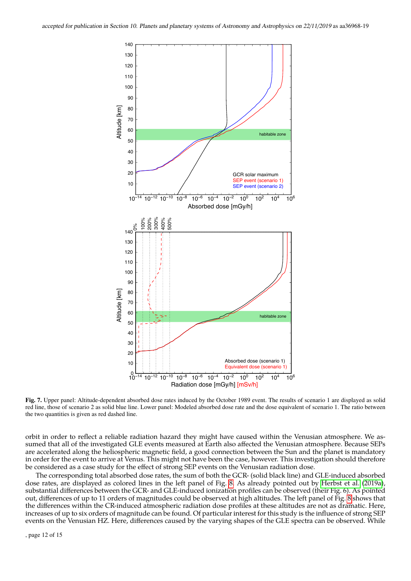

<span id="page-11-0"></span>Fig. 7. Upper panel: Altitude-dependent absorbed dose rates induced by the October 1989 event. The results of scenario 1 are displayed as solid red line, those of scenario 2 as solid blue line. Lower panel: Modeled absorbed dose rate and the dose equivalent of scenario 1. The ratio between the two quantities is given as red dashed line.

orbit in order to reflect a reliable radiation hazard they might have caused within the Venusian atmosphere. We assumed that all of the investigated GLE events measured at Earth also affected the Venusian atmosphere. Because SEPs are accelerated along the heliospheric magnetic field, a good connection between the Sun and the planet is mandatory in order for the event to arrive at Venus. This might not have been the case, however. This investigation should therefore be considered as a case study for the effect of strong SEP events on the Venusian radiation dose.

The corresponding total absorbed dose rates, the sum of both the GCR- (solid black line) and GLE-induced absorbed dose rates, are displayed as colored lines in the left panel of Fig. [8.](#page-12-0) As already pointed out by [Herbst et al.](#page-14-14) [\(2019a\)](#page-14-14), substantial differences between the GCR- and GLE-induced ionization profiles can be observed (their Fig. 6). As pointed out, differences of up to 11 orders of magnitudes could be observed at high altitudes. The left panel of Fig. [8](#page-12-0) shows that the differences within the CR-induced atmospheric radiation dose profiles at these altitudes are not as dramatic. Here, increases of up to six orders of magnitude can be found. Of particular interest for this study is the influence of strong SEP events on the Venusian HZ. Here, differences caused by the varying shapes of the GLE spectra can be observed. While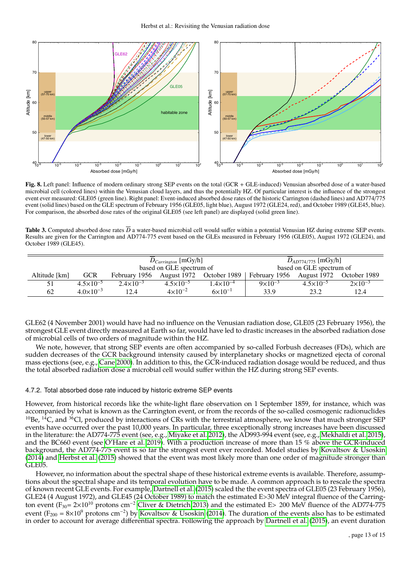

<span id="page-12-0"></span>Fig. 8. Left panel: Influence of modern ordinary strong SEP events on the total (GCR + GLE-induced) Venusian absorbed dose of a water-based microbial cell (colored lines) within the Venusian cloud layers, and thus the potentially HZ. Of particular interest is the influence of the strongest event ever measured: GLE05 (green line). Right panel: Event-induced absorbed dose rates of the historic Carrington (dashed lines) and AD774/775 event (solid lines) based on the GLE spectrum of February 1956 (GLE05, light blue), August 1972 (GLE24, red), and October 1989 (GLE45, blue). For comparison, the absorbed dose rates of the original GLE05 (see left panel) are displayed (solid green line).

<span id="page-12-1"></span>**Table 3.** Computed absorbed dose rates  $\overline{D}$  a water-based microbial cell would suffer within a potential Venusian HZ during extreme SEP events. Results are given for the Carrington and AD774-775 event based on the GLEs measured in February 1956 (GLE05), August 1972 (GLE24), and October 1989 (GLE45).

|               |                      | $D_{Carrington}$ [mGy/h]<br>based on GLE spectrum of |                      |                    | $D_{AD774/775}$ [mGy/h]<br>based on GLE spectrum of |                      |                    |
|---------------|----------------------|------------------------------------------------------|----------------------|--------------------|-----------------------------------------------------|----------------------|--------------------|
| Altitude [km] | <b>GCR</b>           | February 1956 August 1972 October 1989               |                      |                    | February 1956 August 1972 October 1989              |                      |                    |
| 51            | $4.5 \times 10^{-5}$ | $2.4 \times 10^{-3}$                                 | $4.5 \times 10^{-5}$ | $1.4\times10^{-4}$ | $9 \times 10^{-3}$                                  | $4.5 \times 10^{-5}$ | $2 \times 10^{-3}$ |
| 62            | $4.0 \times 10^{-3}$ | 12.4                                                 | $4 \times 10^{-2}$   | $6 \times 10^{-1}$ | 33.9                                                | 23.2                 | 12.4               |

GLE62 (4 November 2001) would have had no influence on the Venusian radiation dose, GLE05 (23 February 1956), the strongest GLE event directly measured at Earth so far, would have led to drastic increases in the absorbed radiation dose of microbial cells of two orders of magnitude within the HZ.

We note, however, that strong SEP events are often accompanied by so-called Forbush decreases (FDs), which are sudden decreases of the GCR background intensity caused by interplanetary shocks or magnetized ejecta of coronal mass ejections (see, e.g., [Cane 2000\)](#page-14-56). In addition to this, the GCR-induced radiation dosage would be reduced, and thus the total absorbed radiation dose a microbial cell would suffer within the HZ during strong SEP events.

## 4.7.2. Total absorbed dose rate induced by historic extreme SEP events

However, from historical records like the white-light flare observation on 1 September 1859, for instance, which was accompanied by what is known as the Carrington event, or from the records of the so-called cosmogenic radionuclides  $10B$ e,  $14C$ , and  $36C$ , produced by interactions of CRs with the terrestrial atmosphere, we know that much stronger SEP events have occurred over the past 10,000 years. In particular, three exceptionally strong increases have been discussed in the literature: the AD774-775 event (see, e.g., [Miyake et al. 2012\)](#page-14-46), the AD993-994 event (see, e.g., [Mekhaldi et al. 2015\)](#page-14-29), and the BC660 event (see [O'Hare et al. 2019\)](#page-14-45). With a production increase of more than 15 % above the GCR-induced background, the AD774-775 event is so far the strongest event ever recorded. Model studies by [Kovaltsov & Usoskin](#page-14-47) [\(2014\)](#page-14-47) and [Herbst et al.](#page-14-3) [\(2015\)](#page-14-3) showed that the event was most likely more than one order of magnitude stronger than GLE05.

However, no information about the spectral shape of these historical extreme events is available. Therefore, assumptions about the spectral shape and its temporal evolution have to be made. A common approach is to rescale the spectra of known recent GLE events. For example, [Dartnell et al.](#page-14-12) [\(2015\)](#page-14-12) scaled the the event spectra of GLE05 (23 February 1956), GLE24 (4 August 1972), and GLE45 (24 October 1989) to match the estimated E>30 MeV integral fluence of the Carring-ton event (F<sub>30</sub>= 2×10<sup>10</sup> protons cm<sup>−2</sup> [Cliver & Dietrich 2013\)](#page-14-57) and the estimated E> 200 MeV fluence of the AD774-775 event ( $F_{200} = 8 \times 10^9$  protons cm<sup>-2</sup>) by [Kovaltsov & Usoskin](#page-14-47) [\(2014\)](#page-14-47). The duration of the events also has to be estimated in order to account for average differential spectra. Following the approach by [Dartnell et al.](#page-14-12) [\(2015\)](#page-14-12), an event duration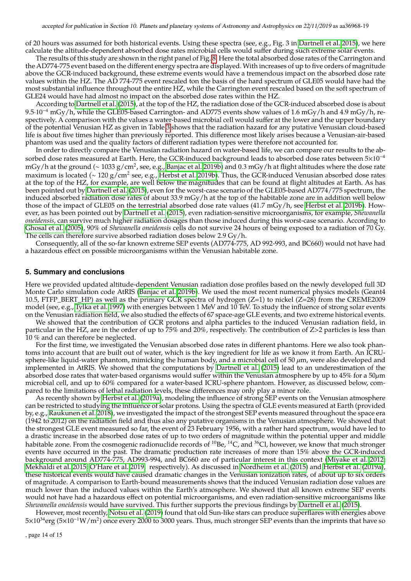of 20 hours was assumed for both historical events. Using these spectra (see, e.g., Fig. 3 in [Dartnell et al. 2015\)](#page-14-12), we here calculate the altitude-dependent absorbed dose rates microbial cells would suffer during such extreme solar events.

The results of this study are shown in the right panel of Fig. [8.](#page-12-0) Here the total absorbed dose rates of the Carrington and the AD774-775 event based on the different energy spectra are displayed. With increases of up to five orders of magnitude above the GCR-induced background, these extreme events would have a tremendous impact on the absorbed dose rate values within the HZ. The AD 774-775 event rescaled ton the basis of the hard spectrum of GLE05 would have had the most substantial influence throughout the entire HZ, while the Carrington event rescaled based on the soft spectrum of GLE24 would have had almost no impact on the absorbed dose rates within the HZ.

According to [Dartnell et al.](#page-14-12) [\(2015\)](#page-14-12), at the top of the HZ, the radiation dose of the GCR-induced absorbed dose is about 9.5·10−<sup>4</sup> mGy/h, while the GLE05-based Carrington- and AD775 events show values of 1.6 mGy/h and 4.9 mGy/h, respectively. A comparison with the values a water-based microbial cell would suffer at the lower and the upper boundary of the potential Venusian HZ as given in Table [3](#page-12-1) shows that the radiation hazard for any putative Venusian cloud-based life is about five times higher than previously reported. This difference most likely arises because a Venusian-air-based phantom was used and the quality factors of different radiation types were therefore not accounted for.

In order to directly compare the Venusian radiation hazard on water-based life, we can compare our results to the absorbed dose rates measured at Earth. Here, the GCR-induced background leads to absorbed dose rates between 5×10<sup>-4</sup> mGy/h at the ground (∼ 1033 g/cm<sup>2</sup>, see, e.g., [Banjac et al. 2019b\)](#page-14-27) and 0.3 mGy/h at flight altitudes where the dose rate<br>maximum is located (~ 120 g/cm<sup>2</sup> see, e.g., Herbst et al. 2019b). Thus, the CCR-induced Venusian maximum is located (~ 120 g/cm $^2$  see, e.g., [Herbst et al. 2019b\)](#page-14-58). Thus, the GCR-induced Venusian absorbed dose rates at the top of the HZ, for example, are well below the magnitudes that can be found at flight altitudes at Earth. As has been pointed out by [Dartnell et al.](#page-14-12) [\(2015\)](#page-14-12), even for the worst-case scenario of the GLE05-based AD774/775 spectrum, the induced absorbed radiation dose rates of about 33.9 mGy/h at the top of the habitable zone are in addition well below those of the impact of GLE05 on the terrestrial absorbed dose rate values (41.7 mGy/h, see [Herbst et al. 2019b\)](#page-14-58). However, as has been pointed out by [Dartnell et al.](#page-14-12) [\(2015\)](#page-14-12), even radiation-sensitive microorganisms, for example, *Shewanella oneidensis,* can survive much higher radiation dosages than those induced during this worst-case scenario. According to [Ghosal et al.](#page-14-59) [\(2005\)](#page-14-59), 90% of *Shewanella oneidensis* cells do not survive 24 hours of being exposed to a radiation of 70 Gy. The cells can therefore survive absorbed radiation doses below 2.9 Gy/h.

Consequently, all of the so-far known extreme SEP events (AD774-775, AD 992-993, and BC660) would not have had a hazardous effect on possible microorganisms within the Venusian habitable zone.

#### **5. Summary and conclusions**

Here we provided updated altitude-dependent Venusian radiation dose profiles based on the newly developed full 3D Monte Carlo simulation code AtRIS [\(Banjac et al. 2019b\)](#page-14-27). We used the most recent numerical physics models (Geant4 10.5, FTFP\_BERT\_HP) as well as the primary GCR spectra of hydrogen ( $Z=1$ ) to nickel ( $Z=28$ ) from the CREME2009 model (see, e.g., [Tylka et al. 1997\)](#page-14-41) with energies between 1 MeV and 10 TeV. To study the influence of strong solar events on the Venusian radiation field, we also studied the effects of 67 space-age GLE events, and two extreme historical events.

We showed that the contribution of GCR protons and alpha particles to the induced Venusian radiation field, in particular in the HZ, are in the order of up to 75% and 20%, respectively. The contribution of Z>2 particles is less than 10 % and can therefore be neglected.

For the first time, we investigated the Venusian absorbed dose rates in different phantoms. Here we also took phantoms into account that are built out of water, which is the key ingredient for life as we know it from Earth. An ICRUsphere-like liquid-water phantom, mimicking the human body, and a microbial cell of 50  $\mu$ m, were also developed and implemented in AtRIS. We showed that the computations by [Dartnell et al.](#page-14-12) [\(2015\)](#page-14-12) lead to an underestimation of the absorbed dose rates that water-based organisms would suffer within the Venusian atmosphere by up to  $45\%$  for a  $50\mu$ m microbial cell, and up to 60% compared for a water-based ICRU-sphere phantom. However, as discussed below, compared to the limitations of lethal radiation levels, these differences may only play a minor role.

As recently shown by [Herbst et al.](#page-14-14) [\(2019a\)](#page-14-14), modeling the influence of strong SEP events on the Venusian atmosphere can be restricted to studying the influence of solar protons. Using the spectra of GLE events measured at Earth (provided by, e.g., [Raukunen et al. 2018\)](#page-14-28), we investigated the impact of the strongest SEP events measured throughout the space era (1942 to 2012) on the radiation field and thus also any putative organisms in the Venusian atmosphere. We showed that the strongest GLE event measured so far, the event of 23 February 1956, with a rather hard spectrum, would have led to a drastic increase in the absorbed dose rates of up to two orders of magnitude within the potential upper and middle habitable zone. From the cosmogenic radionuclide records of <sup>10</sup>Be, <sup>14</sup>C, and <sup>36</sup>Cl, however, we know that much stronger events have occurred in the past. The dramatic production rate increases of more than 15% above the GCR-induced background around AD774-775, AD993-994, and BC660 are of particular interest in this context [\(Miyake et al. 2012;](#page-14-46) [Mekhaldi et al. 2015;](#page-14-29) [O'Hare et al. 2019,](#page-14-45) respectively). As discussed in [Nordheim et al.](#page-14-11) [\(2015\)](#page-14-11) and [Herbst et al.](#page-14-14) [\(2019a\)](#page-14-14), these historical events would have caused dramatic changes in the Venusian ionization rates, of about up to six orders of magnitude. A comparison to Earth-bound measurements shows that the induced Venusian radiation dose values are much lower than the induced values within the Earth's atmosphere. We showed that all known extreme SEP events would not have had a hazardous effect on potential microorganisms, and even radiation-sensitive microorganisms like *Shewanella oneidensis* would have survived. This further supports the previous findings by [Dartnell et al.](#page-14-12) [\(2015\)](#page-14-12).

However, most recently, [Notsu et al.](#page-14-60) [\(2019\)](#page-14-60) found that old Sun-like stars can produce superflares with energies above 5×10<sup>34</sup>erg (5×10<sup>-1</sup>W/m<sup>2</sup>) once every 2000 to 3000 years. Thus, much stronger SEP events than the imprints that have so